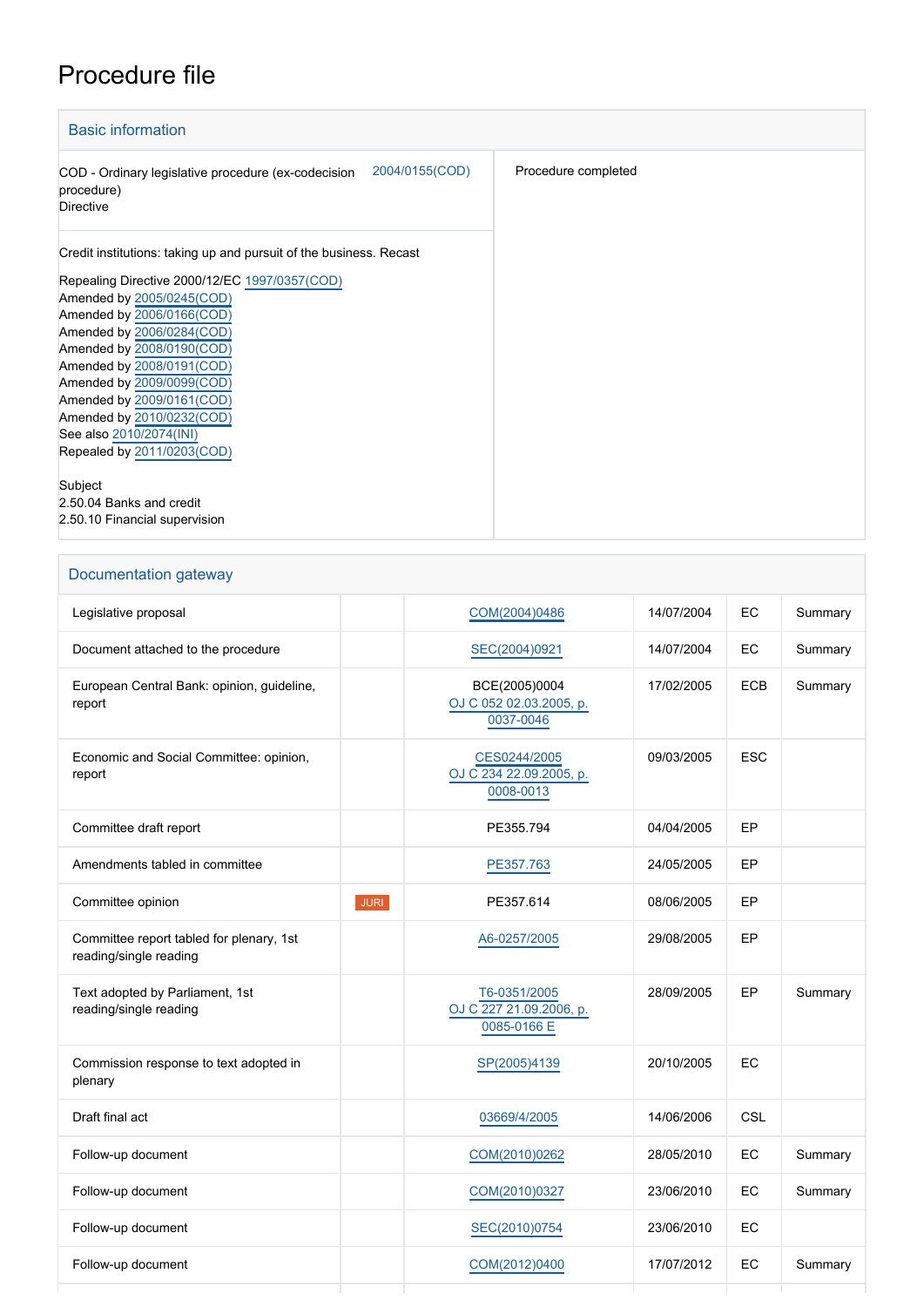## Procedure file

| <b>Basic information</b>                                                                                |                     |
|---------------------------------------------------------------------------------------------------------|---------------------|
| 2004/0155(COD)<br>COD - Ordinary legislative procedure (ex-codecision<br>procedure)<br><b>Directive</b> | Procedure completed |
| Credit institutions: taking up and pursuit of the business. Recast                                      |                     |
| Repealing Directive 2000/12/EC 1997/0357(COD)                                                           |                     |
| Amended by 2005/0245(COD)                                                                               |                     |
| Amended by 2006/0166(COD)                                                                               |                     |
| Amended by 2006/0284(COD)                                                                               |                     |
| Amended by 2008/0190(COD)                                                                               |                     |
| Amended by 2008/0191(COD)                                                                               |                     |
| Amended by 2009/0099(COD)                                                                               |                     |
| Amended by 2009/0161(COD)                                                                               |                     |
| Amended by 2010/0232(COD)                                                                               |                     |
| See also 2010/2074(INI)                                                                                 |                     |
| Repealed by 2011/0203(COD)                                                                              |                     |
|                                                                                                         |                     |
| Subject                                                                                                 |                     |
| 2.50.04 Banks and credit                                                                                |                     |
| 2.50.10 Financial supervision                                                                           |                     |

| Documentation gateway                                              |                                                        |            |            |         |  |  |
|--------------------------------------------------------------------|--------------------------------------------------------|------------|------------|---------|--|--|
| Legislative proposal                                               | COM(2004)0486                                          | 14/07/2004 | EC         | Summary |  |  |
| Document attached to the procedure                                 | SEC(2004)0921                                          | 14/07/2004 | EC         | Summary |  |  |
| European Central Bank: opinion, guideline,<br>report               | BCE(2005)0004<br>OJ C 052 02.03.2005, p.<br>0037-0046  | 17/02/2005 | <b>ECB</b> | Summary |  |  |
| Economic and Social Committee: opinion,<br>report                  | CES0244/2005<br>OJ C 234 22.09.2005, p.<br>0008-0013   | 09/03/2005 | <b>ESC</b> |         |  |  |
| Committee draft report                                             | PE355.794                                              | 04/04/2005 | EP         |         |  |  |
| Amendments tabled in committee                                     | PE357.763                                              | 24/05/2005 | EP         |         |  |  |
| Committee opinion                                                  | <b>JURI</b><br>PE357.614                               | 08/06/2005 | EP         |         |  |  |
| Committee report tabled for plenary, 1st<br>reading/single reading | A6-0257/2005                                           | 29/08/2005 | EP         |         |  |  |
| Text adopted by Parliament, 1st<br>reading/single reading          | T6-0351/2005<br>OJ C 227 21.09.2006, p.<br>0085-0166 E | 28/09/2005 | EP         | Summary |  |  |
| Commission response to text adopted in<br>plenary                  | SP(2005)4139                                           | 20/10/2005 | EC         |         |  |  |
| Draft final act                                                    | 03669/4/2005                                           | 14/06/2006 | CSL        |         |  |  |
| Follow-up document                                                 | COM(2010)0262                                          | 28/05/2010 | EC         | Summary |  |  |
| Follow-up document                                                 | COM(2010)0327                                          | 23/06/2010 | EC         | Summary |  |  |
| Follow-up document                                                 | SEC(2010)0754                                          | 23/06/2010 | EC         |         |  |  |

Follow-up document **[COM\(2012\)0400](http://www.europarl.europa.eu/registre/docs_autres_institutions/commission_europeenne/com/2012/0400/COM_COM(2012)0400_EN.pdf)** 17/07/2012 EC Summary